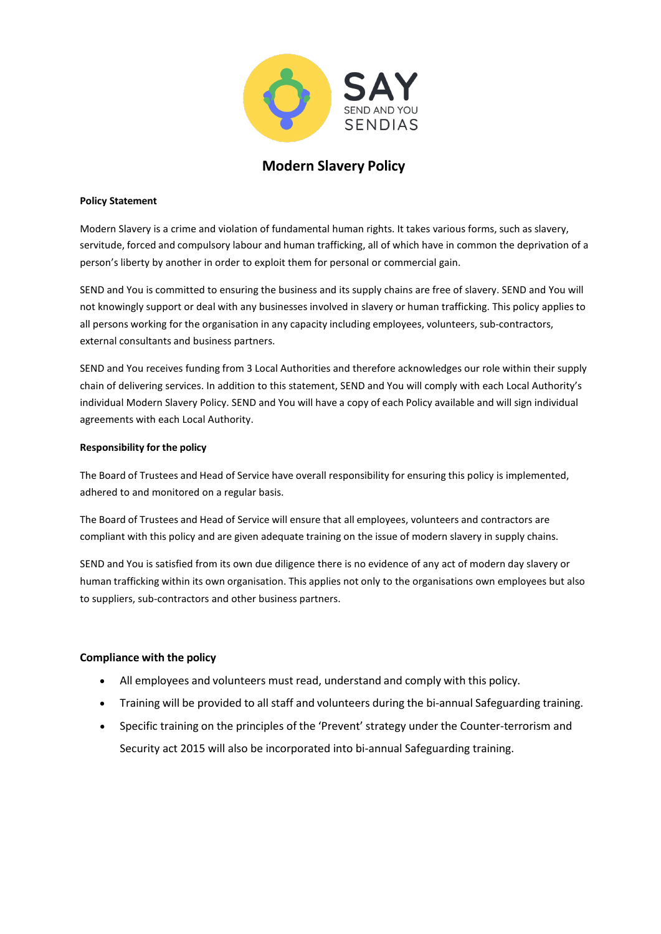

# **Modern Slavery Policy**

#### **Policy Statement**

Modern Slavery is a crime and violation of fundamental human rights. It takes various forms, such as slavery, servitude, forced and compulsory labour and human trafficking, all of which have in common the deprivation of a person's liberty by another in order to exploit them for personal or commercial gain.

SEND and You is committed to ensuring the business and its supply chains are free of slavery. SEND and You will not knowingly support or deal with any businesses involved in slavery or human trafficking. This policy applies to all persons working for the organisation in any capacity including employees, volunteers, sub-contractors, external consultants and business partners.

SEND and You receives funding from 3 Local Authorities and therefore acknowledges our role within their supply chain of delivering services. In addition to this statement, SEND and You will comply with each Local Authority's individual Modern Slavery Policy. SEND and You will have a copy of each Policy available and will sign individual agreements with each Local Authority.

#### **Responsibility for the policy**

The Board of Trustees and Head of Service have overall responsibility for ensuring this policy is implemented, adhered to and monitored on a regular basis.

The Board of Trustees and Head of Service will ensure that all employees, volunteers and contractors are compliant with this policy and are given adequate training on the issue of modern slavery in supply chains.

SEND and You is satisfied from its own due diligence there is no evidence of any act of modern day slavery or human trafficking within its own organisation. This applies not only to the organisations own employees but also to suppliers, sub-contractors and other business partners.

#### **Compliance with the policy**

- All employees and volunteers must read, understand and comply with this policy.
- Training will be provided to all staff and volunteers during the bi-annual Safeguarding training.
- Specific training on the principles of the 'Prevent' strategy under the Counter-terrorism and Security act 2015 will also be incorporated into bi-annual Safeguarding training.